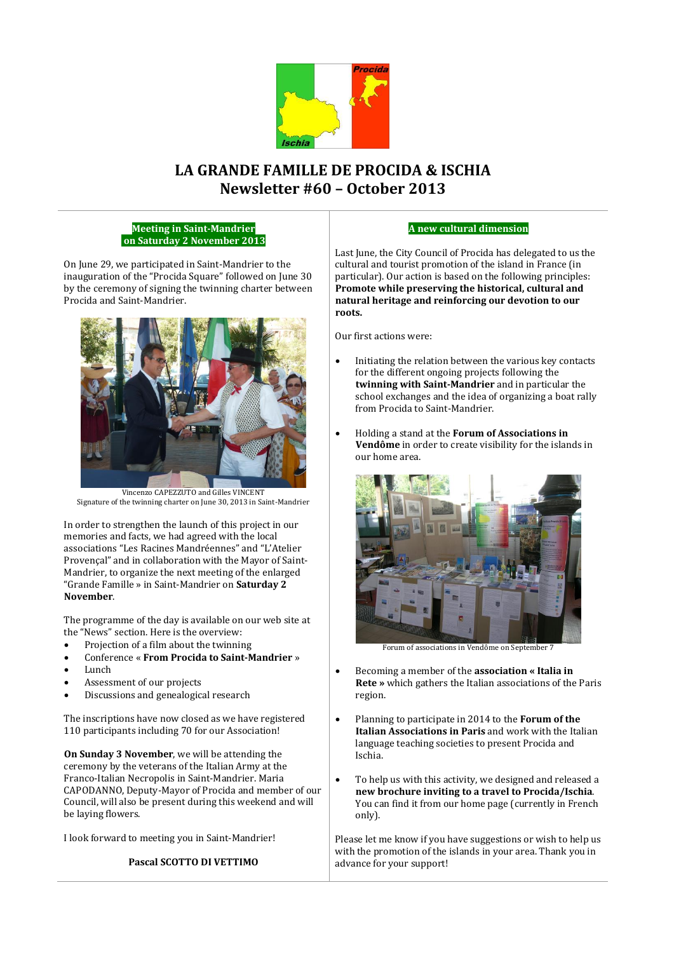

# **LA GRANDE FAMILLE DE PROCIDA & ISCHIA Newsletter #60 – October 2013**

#### **Meeting in Saint-Mandrier on Saturday 2 November 2013**

On June 29, we participated in Saint-Mandrier to the inauguration of the "Procida Square" followed on June 30 by the ceremony of signing the twinning charter between Procida and Saint-Mandrier.



Vincenzo CAPEZZUTO and Gilles VINCENT Signature of the twinning charter on June 30, 2013 in Saint-Mandrier

In order to strengthen the launch of this project in our memories and facts, we had agreed with the local associations "Les Racines Mandréennes" and "L'Atelier Provençal" and in collaboration with the Mayor of Saint-Mandrier, to organize the next meeting of the enlarged "Grande Famille » in Saint-Mandrier on **Saturday 2 November**.

The programme of the day is available on our web site at the "News" section. Here is the overview:

- Projection of a film about the twinning
- Conference « **From Procida to Saint-Mandrier** »
- Lunch
- Assessment of our projects
- Discussions and genealogical research

The inscriptions have now closed as we have registered 110 participants including 70 for our Association!

**On Sunday 3 November**, we will be attending the ceremony by the veterans of the Italian Army at the Franco-Italian Necropolis in Saint-Mandrier. Maria CAPODANNO, Deputy-Mayor of Procida and member of our Council, will also be present during this weekend and will be laying flowers.

I look forward to meeting you in Saint-Mandrier!

# **Pascal SCOTTO DI VETTIMO**

#### **A new cultural dimension**

Last June, the City Council of Procida has delegated to us the cultural and tourist promotion of the island in France (in particular). Our action is based on the following principles: **Promote while preserving the historical, cultural and natural heritage and reinforcing our devotion to our roots.**

Our first actions were:

- Initiating the relation between the various key contacts for the different ongoing projects following the **twinning with Saint-Mandrier** and in particular the school exchanges and the idea of organizing a boat rally from Procida to Saint-Mandrier.
- Holding a stand at the **Forum of Associations in Vendôme** in order to create visibility for the islands in our home area.



Forum of associations in Vendôme on September 7

- Becoming a member of the **association « Italia in Rete »** which gathers the Italian associations of the Paris region.
- Planning to participate in 2014 to the **Forum of the Italian Associations in Paris** and work with the Italian language teaching societies to present Procida and Ischia.
- To help us with this activity, we designed and released a **new brochure inviting to a travel to Procida/Ischia**. You can find it from our home page (currently in French only).

Please let me know if you have suggestions or wish to help us with the promotion of the islands in your area. Thank you in advance for your support!